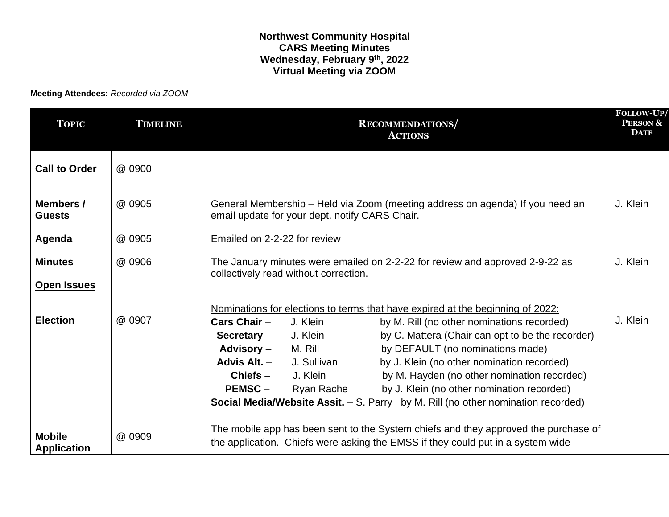## **Northwest Community Hospital CARS Meeting Minutes Wednesday, February 9th, 2022 Virtual Meeting via ZOOM**

**Meeting Attendees:** *Recorded via ZOOM*

| <b>TOPIC</b>                         | <b>TIMELINE</b> | <b>RECOMMENDATIONS</b><br><b>ACTIONS</b>                                                                                                                                                                                                                                                                                                                                                                                                                                                                                                                                                                                                    | FOLLOW-UP/<br><b>PERSON &amp;</b><br><b>DATE</b> |
|--------------------------------------|-----------------|---------------------------------------------------------------------------------------------------------------------------------------------------------------------------------------------------------------------------------------------------------------------------------------------------------------------------------------------------------------------------------------------------------------------------------------------------------------------------------------------------------------------------------------------------------------------------------------------------------------------------------------------|--------------------------------------------------|
| <b>Call to Order</b>                 | @ 0900          |                                                                                                                                                                                                                                                                                                                                                                                                                                                                                                                                                                                                                                             |                                                  |
| Members /<br><b>Guests</b>           | @ 0905          | General Membership - Held via Zoom (meeting address on agenda) If you need an<br>email update for your dept. notify CARS Chair.                                                                                                                                                                                                                                                                                                                                                                                                                                                                                                             | J. Klein                                         |
| Agenda                               | @ 0905          | Emailed on 2-2-22 for review                                                                                                                                                                                                                                                                                                                                                                                                                                                                                                                                                                                                                |                                                  |
| <b>Minutes</b><br><b>Open Issues</b> | @ 0906          | The January minutes were emailed on 2-2-22 for review and approved 2-9-22 as<br>collectively read without correction.                                                                                                                                                                                                                                                                                                                                                                                                                                                                                                                       | J. Klein                                         |
| <b>Election</b>                      | @ 0907          | Nominations for elections to terms that have expired at the beginning of 2022:<br>Cars Chair $-$<br>J. Klein<br>by M. Rill (no other nominations recorded)<br>by C. Mattera (Chair can opt to be the recorder)<br>J. Klein<br>Secretary $-$<br><b>Advisory –</b><br>M. Rill<br>by DEFAULT (no nominations made)<br>Advis Alt. -<br>J. Sullivan<br>by J. Klein (no other nomination recorded)<br>by M. Hayden (no other nomination recorded)<br>J. Klein<br>$Chiefs-$<br>by J. Klein (no other nomination recorded)<br>$PEMSC -$<br>Ryan Rache<br><b>Social Media/Website Assit.</b> $- S$ . Parry by M. Rill (no other nomination recorded) | J. Klein                                         |
| <b>Mobile</b><br><b>Application</b>  | @ 0909          | The mobile app has been sent to the System chiefs and they approved the purchase of<br>the application. Chiefs were asking the EMSS if they could put in a system wide                                                                                                                                                                                                                                                                                                                                                                                                                                                                      |                                                  |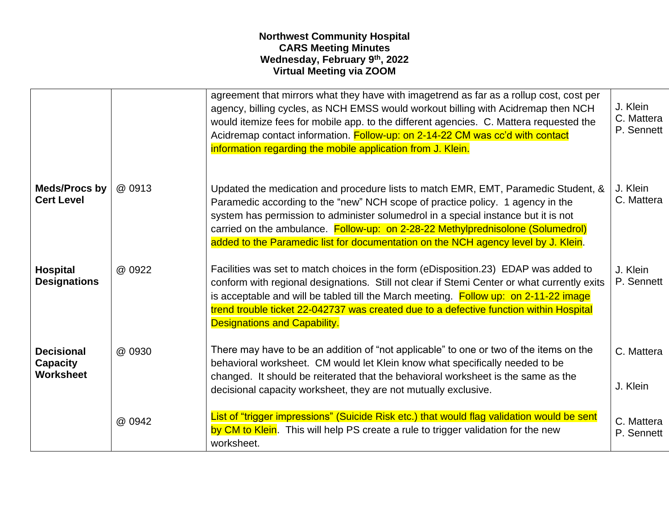## **Northwest Community Hospital CARS Meeting Minutes Wednesday, February 9th, 2022 Virtual Meeting via ZOOM**

|                                                          |        | agreement that mirrors what they have with imagetrend as far as a rollup cost, cost per<br>agency, billing cycles, as NCH EMSS would workout billing with Acidremap then NCH<br>would itemize fees for mobile app. to the different agencies. C. Mattera requested the<br>Acidremap contact information. Follow-up: on 2-14-22 CM was cc'd with contact<br>information regarding the mobile application from J. Klein.              | J. Klein<br>C. Mattera<br>P. Sennett |
|----------------------------------------------------------|--------|-------------------------------------------------------------------------------------------------------------------------------------------------------------------------------------------------------------------------------------------------------------------------------------------------------------------------------------------------------------------------------------------------------------------------------------|--------------------------------------|
| <b>Meds/Procs by</b><br><b>Cert Level</b>                | @ 0913 | Updated the medication and procedure lists to match EMR, EMT, Paramedic Student, &<br>Paramedic according to the "new" NCH scope of practice policy. 1 agency in the<br>system has permission to administer solumedrol in a special instance but it is not<br>carried on the ambulance. Follow-up: on 2-28-22 Methylprednisolone (Solumedrol)<br>added to the Paramedic list for documentation on the NCH agency level by J. Klein. | J. Klein<br>C. Mattera               |
| <b>Hospital</b><br><b>Designations</b>                   | @ 0922 | Facilities was set to match choices in the form (eDisposition.23) EDAP was added to<br>conform with regional designations. Still not clear if Stemi Center or what currently exits<br>is acceptable and will be tabled till the March meeting. Follow up: on 2-11-22 image<br>trend trouble ticket 22-042737 was created due to a defective function within Hospital<br><b>Designations and Capability.</b>                         | J. Klein<br>P. Sennett               |
| <b>Decisional</b><br><b>Capacity</b><br><b>Worksheet</b> | @ 0930 | There may have to be an addition of "not applicable" to one or two of the items on the<br>behavioral worksheet. CM would let Klein know what specifically needed to be<br>changed. It should be reiterated that the behavioral worksheet is the same as the<br>decisional capacity worksheet, they are not mutually exclusive.                                                                                                      | C. Mattera<br>J. Klein               |
|                                                          | @ 0942 | List of "trigger impressions" (Suicide Risk etc.) that would flag validation would be sent<br>by CM to Klein. This will help PS create a rule to trigger validation for the new<br>worksheet.                                                                                                                                                                                                                                       | C. Mattera<br>P. Sennett             |